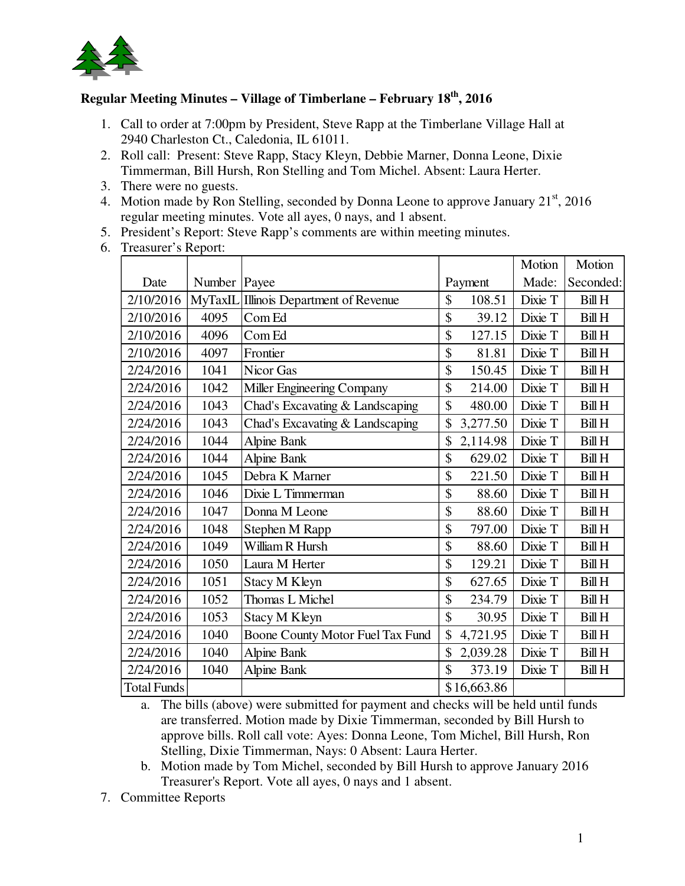

## **Regular Meeting Minutes – Village of Timberlane – February 18th, 2016**

- 1. Call to order at 7:00pm by President, Steve Rapp at the Timberlane Village Hall at 2940 Charleston Ct., Caledonia, IL 61011.
- 2. Roll call: Present: Steve Rapp, Stacy Kleyn, Debbie Marner, Donna Leone, Dixie Timmerman, Bill Hursh, Ron Stelling and Tom Michel. Absent: Laura Herter.
- 3. There were no guests.
- 4. Motion made by Ron Stelling, seconded by Donna Leone to approve January  $21<sup>st</sup>$ , 2016 regular meeting minutes. Vote all ayes, 0 nays, and 1 absent.
- 5. President's Report: Steve Rapp's comments are within meeting minutes.
- 6. Treasurer's Report:

|                    |                |                                        |                | Motion  | Motion        |
|--------------------|----------------|----------------------------------------|----------------|---------|---------------|
| Date               | Number   Payee |                                        | Payment        | Made:   | Seconded:     |
| 2/10/2016          |                | MyTaxIL Illinois Department of Revenue | \$<br>108.51   | Dixie T | <b>Bill H</b> |
| 2/10/2016          | 4095           | Com Ed                                 | \$<br>39.12    | Dixie T | <b>Bill H</b> |
| 2/10/2016          | 4096           | Com Ed                                 | \$<br>127.15   | Dixie T | <b>Bill H</b> |
| 2/10/2016          | 4097           | Frontier                               | \$<br>81.81    | Dixie T | <b>Bill H</b> |
| 2/24/2016          | 1041           | Nicor Gas                              | \$<br>150.45   | Dixie T | <b>Bill H</b> |
| 2/24/2016          | 1042           | Miller Engineering Company             | \$<br>214.00   | Dixie T | <b>Bill H</b> |
| 2/24/2016          | 1043           | Chad's Excavating & Landscaping        | \$<br>480.00   | Dixie T | <b>Bill H</b> |
| 2/24/2016          | 1043           | Chad's Excavating & Landscaping        | \$<br>3,277.50 | Dixie T | <b>Bill H</b> |
| 2/24/2016          | 1044           | <b>Alpine Bank</b>                     | \$<br>2,114.98 | Dixie T | <b>Bill H</b> |
| 2/24/2016          | 1044           | <b>Alpine Bank</b>                     | \$<br>629.02   | Dixie T | <b>Bill H</b> |
| 2/24/2016          | 1045           | Debra K Marner                         | \$<br>221.50   | Dixie T | <b>Bill H</b> |
| 2/24/2016          | 1046           | Dixie L Timmerman                      | \$<br>88.60    | Dixie T | <b>Bill H</b> |
| 2/24/2016          | 1047           | Donna M Leone                          | \$<br>88.60    | Dixie T | <b>Bill H</b> |
| 2/24/2016          | 1048           | Stephen M Rapp                         | \$<br>797.00   | Dixie T | <b>Bill H</b> |
| 2/24/2016          | 1049           | William R Hursh                        | \$<br>88.60    | Dixie T | <b>Bill H</b> |
| 2/24/2016          | 1050           | Laura M Herter                         | \$<br>129.21   | Dixie T | <b>Bill H</b> |
| 2/24/2016          | 1051           | <b>Stacy M Kleyn</b>                   | \$<br>627.65   | Dixie T | <b>Bill H</b> |
| 2/24/2016          | 1052           | Thomas L Michel                        | \$<br>234.79   | Dixie T | <b>Bill H</b> |
| 2/24/2016          | 1053           | <b>Stacy M Kleyn</b>                   | \$<br>30.95    | Dixie T | <b>Bill H</b> |
| 2/24/2016          | 1040           | Boone County Motor Fuel Tax Fund       | \$<br>4,721.95 | Dixie T | <b>Bill H</b> |
| 2/24/2016          | 1040           | <b>Alpine Bank</b>                     | \$<br>2,039.28 | Dixie T | <b>Bill H</b> |
| 2/24/2016          | 1040           | <b>Alpine Bank</b>                     | \$<br>373.19   | Dixie T | <b>Bill H</b> |
| <b>Total Funds</b> |                |                                        | \$16,663.86    |         |               |

a. The bills (above) were submitted for payment and checks will be held until funds are transferred. Motion made by Dixie Timmerman, seconded by Bill Hursh to approve bills. Roll call vote: Ayes: Donna Leone, Tom Michel, Bill Hursh, Ron Stelling, Dixie Timmerman, Nays: 0 Absent: Laura Herter.

- b. Motion made by Tom Michel, seconded by Bill Hursh to approve January 2016 Treasurer's Report. Vote all ayes, 0 nays and 1 absent.
- 7. Committee Reports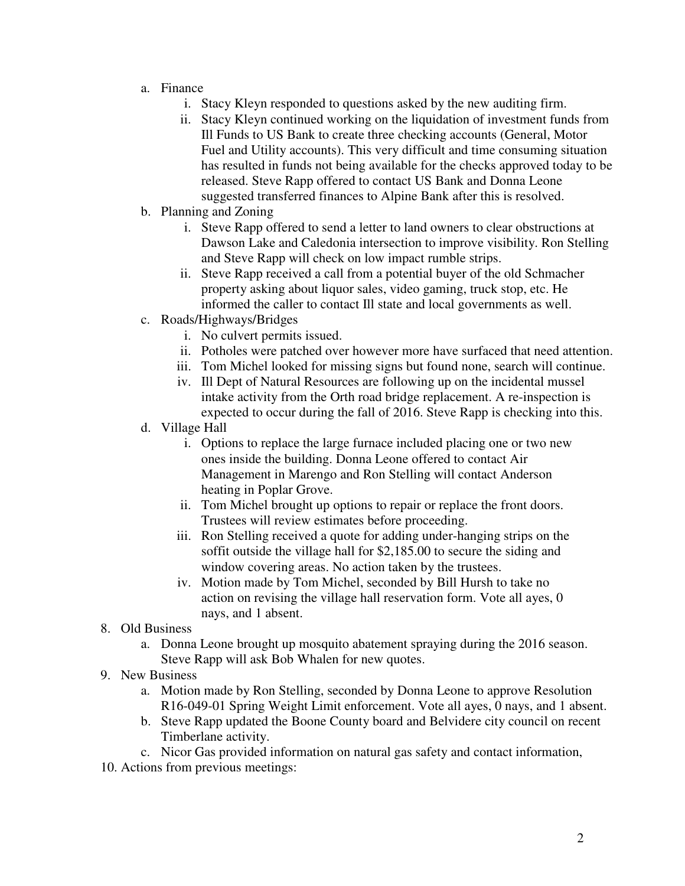- a. Finance
	- i. Stacy Kleyn responded to questions asked by the new auditing firm.
	- ii. Stacy Kleyn continued working on the liquidation of investment funds from Ill Funds to US Bank to create three checking accounts (General, Motor Fuel and Utility accounts). This very difficult and time consuming situation has resulted in funds not being available for the checks approved today to be released. Steve Rapp offered to contact US Bank and Donna Leone suggested transferred finances to Alpine Bank after this is resolved.
- b. Planning and Zoning
	- i. Steve Rapp offered to send a letter to land owners to clear obstructions at Dawson Lake and Caledonia intersection to improve visibility. Ron Stelling and Steve Rapp will check on low impact rumble strips.
	- ii. Steve Rapp received a call from a potential buyer of the old Schmacher property asking about liquor sales, video gaming, truck stop, etc. He informed the caller to contact Ill state and local governments as well.
- c. Roads/Highways/Bridges
	- i. No culvert permits issued.
	- ii. Potholes were patched over however more have surfaced that need attention.
	- iii. Tom Michel looked for missing signs but found none, search will continue.
	- iv. Ill Dept of Natural Resources are following up on the incidental mussel intake activity from the Orth road bridge replacement. A re-inspection is expected to occur during the fall of 2016. Steve Rapp is checking into this.
- d. Village Hall
	- i. Options to replace the large furnace included placing one or two new ones inside the building. Donna Leone offered to contact Air Management in Marengo and Ron Stelling will contact Anderson heating in Poplar Grove.
	- ii. Tom Michel brought up options to repair or replace the front doors. Trustees will review estimates before proceeding.
	- iii. Ron Stelling received a quote for adding under-hanging strips on the soffit outside the village hall for \$2,185.00 to secure the siding and window covering areas. No action taken by the trustees.
	- iv. Motion made by Tom Michel, seconded by Bill Hursh to take no action on revising the village hall reservation form. Vote all ayes, 0 nays, and 1 absent.
- 8. Old Business
	- a. Donna Leone brought up mosquito abatement spraying during the 2016 season. Steve Rapp will ask Bob Whalen for new quotes.
- 9. New Business
	- a. Motion made by Ron Stelling, seconded by Donna Leone to approve Resolution R16-049-01 Spring Weight Limit enforcement. Vote all ayes, 0 nays, and 1 absent.
	- b. Steve Rapp updated the Boone County board and Belvidere city council on recent Timberlane activity.
	- c. Nicor Gas provided information on natural gas safety and contact information,
- 10. Actions from previous meetings: